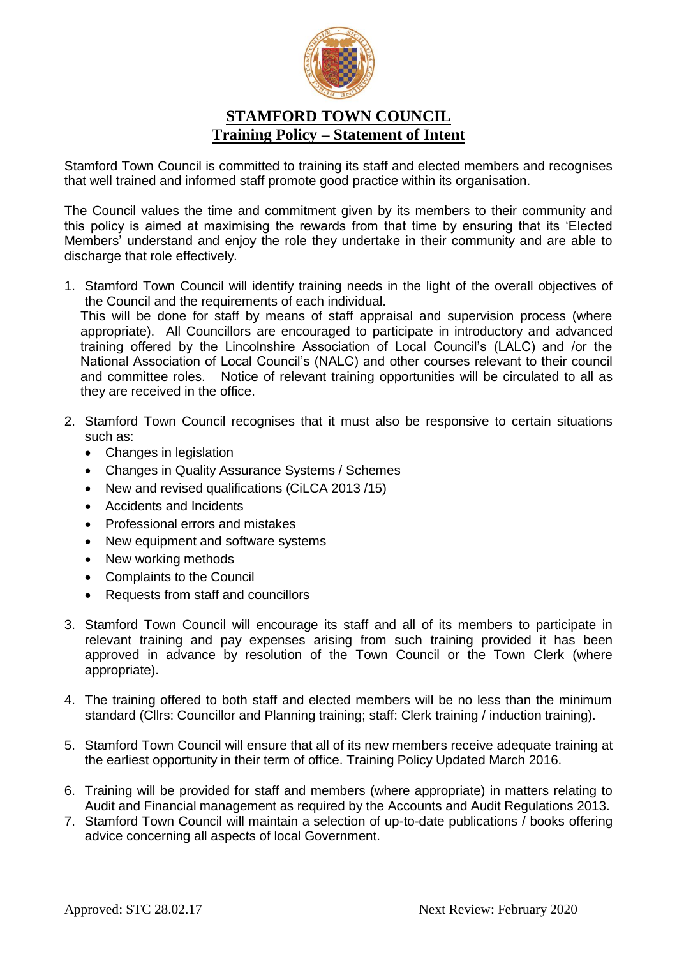

## **STAMFORD TOWN COUNCIL Training Policy – Statement of Intent**

Stamford Town Council is committed to training its staff and elected members and recognises that well trained and informed staff promote good practice within its organisation.

The Council values the time and commitment given by its members to their community and this policy is aimed at maximising the rewards from that time by ensuring that its 'Elected Members' understand and enjoy the role they undertake in their community and are able to discharge that role effectively.

1. Stamford Town Council will identify training needs in the light of the overall objectives of the Council and the requirements of each individual.

This will be done for staff by means of staff appraisal and supervision process (where appropriate). All Councillors are encouraged to participate in introductory and advanced training offered by the Lincolnshire Association of Local Council's (LALC) and /or the National Association of Local Council's (NALC) and other courses relevant to their council and committee roles. Notice of relevant training opportunities will be circulated to all as they are received in the office.

- 2. Stamford Town Council recognises that it must also be responsive to certain situations such as:
	- Changes in legislation
	- Changes in Quality Assurance Systems / Schemes
	- New and revised qualifications (CiLCA 2013/15)
	- Accidents and Incidents
	- Professional errors and mistakes
	- New equipment and software systems
	- New working methods
	- Complaints to the Council
	- Requests from staff and councillors
- 3. Stamford Town Council will encourage its staff and all of its members to participate in relevant training and pay expenses arising from such training provided it has been approved in advance by resolution of the Town Council or the Town Clerk (where appropriate).
- 4. The training offered to both staff and elected members will be no less than the minimum standard (Cllrs: Councillor and Planning training; staff: Clerk training / induction training).
- 5. Stamford Town Council will ensure that all of its new members receive adequate training at the earliest opportunity in their term of office. Training Policy Updated March 2016.
- 6. Training will be provided for staff and members (where appropriate) in matters relating to Audit and Financial management as required by the Accounts and Audit Regulations 2013.
- 7. Stamford Town Council will maintain a selection of up-to-date publications / books offering advice concerning all aspects of local Government.